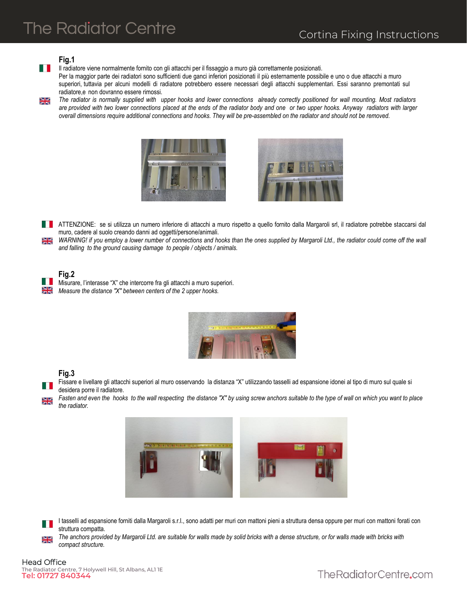# **The Radiator Centre**

### **Fig.1**

 $\mathbb{R}^n \times \mathbb{R}^n$ Il radiatore viene normalmente fornito con gli attacchi per il fissaggio a muro già correttamente posizionati.

Per la maggior parte dei radiatori sono sufficienti due ganci inferiori posizionati il più esternamente possibile e uno o due attacchi a muro superiori, tuttavia per alcuni modelli di radiatore potrebbero essere necessari degli attacchi supplementari. Essi saranno premontati sul radiatore,e non dovranno essere rimossi.

X<br>X *The radiator is normally supplied with upper hooks and lower connections already correctly positioned for wall mounting. Most radiators*  are provided with two lower connections placed at the ends of the radiator body and one or two upper hooks. Anyway radiators with larger *overall dimensions require additional connections and hooks. They will be pre-assembled on the radiator and should not be removed.* 





**ATTENZIONE:** se si utilizza un numero inferiore di attacchi a muro rispetto a quello fornito dalla Margaroli srl, il radiatore potrebbe staccarsi dal muro, cadere al suolo creando danni ad oggetti/persone/animali.

*WARNING! if you employ a lower number of connections and hooks than the ones supplied by Margaroli Ltd., the radiator could come off the wall*   $\frac{\sum\limits_{i=1}^{n}}{n}$ *and falling to the ground causing damage to people / objects / animals.* 



Misurare, l'interasse "X" che intercorre fra gli attacchi a muro superiori. *Measure the distance "X" between centers of the 2 upper hooks.* 

| 2 24 7 3 24 : 500 7 - 1 - 0 10 11 12 13 14 15 17 17 18 18 |  |       |  |
|-----------------------------------------------------------|--|-------|--|
|                                                           |  |       |  |
|                                                           |  | 01101 |  |

### **Fig.3**

Fissare e livellare gli attacchi superiori al muro osservando la distanza "X" utilizzando tasselli ad espansione idonei al tipo di muro sul quale si desidera porre il radiatore.

*Fasten and even the hooks to the wall respecting the distance "X" by using screw anchors suitable to the type of wall on which you want to place the radiator.* 



I tasselli ad espansione forniti dalla Margaroli s.r.l., sono adatti per muri con mattoni pieni a struttura densa oppure per muri con mattoni forati con struttura compatta.

*The anchors provided by Margaroli Ltd. are suitable for walls made by solid bricks with a dense structure, or for walls made with bricks with compact structure.*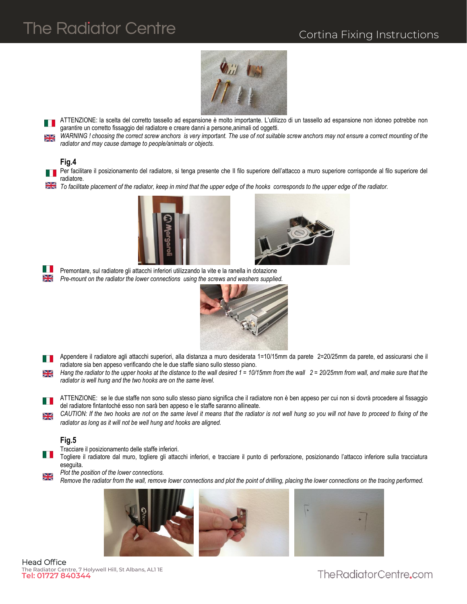# **The Radiator Centre**

## Cortina Fixing Instructions



ATTENZIONE: la scelta del corretto tassello ad espansione è molto importante. L'utilizzo di un tassello ad espansione non idoneo potrebbe non garantire un corretto fissaggio del radiatore e creare danni a persone,animali od oggetti.

*WARNING ! choosing the correct screw anchors is very important. The use of not suitable screw anchors may not ensure a correct mounting of the radiator and may cause damage to people/animals or objects.* 

#### **Fig.4**

Per facilitare il posizionamento del radiatore, si tenga presente che Il filo superiore dell'attacco a muro superiore corrisponde al filo superiore del radiatore.

**To facilitate placement of the radiator, keep in mind that the upper edge of the hooks corresponds to the upper edge of the radiator.** 





Premontare, sul radiatore gli attacchi inferiori utilizzando la vite e la ranella in dotazione *Pre-mount on the radiator the lower connections using the screws and washers supplied.*



Appendere il radiatore agli attacchi superiori, alla distanza a muro desiderata 1=10/15mm da parete 2=20/25mm da parete, ed assicurarsi che il radiatore sia ben appeso verificando che le due staffe siano sullo stesso piano.

*Hang the radiator to the upper hooks at the distance to the wall desired 1 = 10/15mm from the wall 2 = 20/25mm from wall, and make sure that the*  ≫ছ *radiator is well hung and the two hooks are on the same level.* 

ATTENZIONE: se le due staffe non sono sullo stesso piano significa che il radiatore non è ben appeso per cui non si dovrà procedere al fissaggio del radiatore fintantoché esso non sarà ben appeso e le staffe saranno allineate.

*CAUTION: If the two hooks are not on the same level it means that the radiator is not well hung so you will not have to proceed to fixing of the*  ≫≼ *radiator as long as it will not be well hung and hooks are aligned.* 

### **Fig.5**

Tracciare il posizionamento delle staffe inferiori.

H H Togliere il radiatore dal muro, togliere gli attacchi inferiori, e tracciare il punto di perforazione, posizionando l'attacco inferiore sulla tracciatura eseguita.

*Plot the position of the lower connections.* 

স<br>স *Remove the radiator from the wall, remove lower connections and plot the point of drilling, placing the lower connections on the tracing performed.* 



Head Office The Radiator Centre, 7 Holywell Hill, St Albans, AL1 1E **Tel: 01727 840344**

The Radiator Centre.com